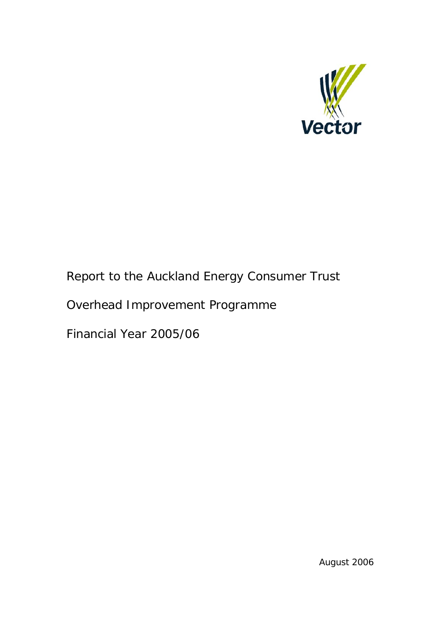

## Report to the Auckland Energy Consumer Trust

# Overhead Improvement Programme

Financial Year 2005/06

August 2006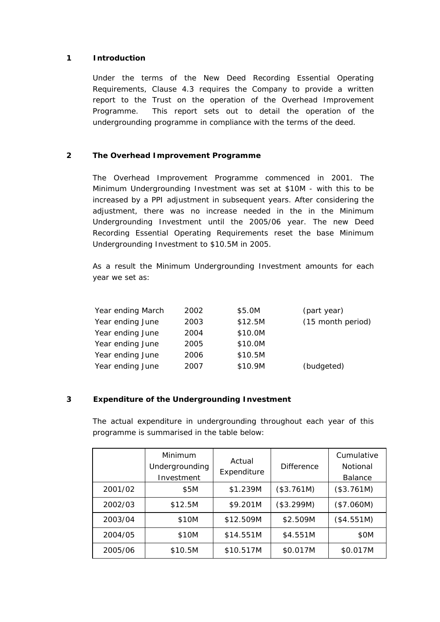### **1 Introduction**

Under the terms of the New Deed Recording Essential Operating Requirements, Clause 4.3 requires the Company to provide a written report to the Trust on the operation of the Overhead Improvement Programme. This report sets out to detail the operation of the undergrounding programme in compliance with the terms of the deed.

## **2 The Overhead Improvement Programme**

The Overhead Improvement Programme commenced in 2001. The Minimum Undergrounding Investment was set at \$10M - with this to be increased by a PPI adjustment in subsequent years. After considering the adjustment, there was no increase needed in the in the Minimum Undergrounding Investment until the 2005/06 year. The new Deed Recording Essential Operating Requirements reset the base Minimum Undergrounding Investment to \$10.5M in 2005.

As a result the Minimum Undergrounding Investment amounts for each year we set as:

| Year ending March | 2002 | \$5.0M  | (part year)       |
|-------------------|------|---------|-------------------|
| Year ending June  | 2003 | \$12.5M | (15 month period) |
| Year ending June  | 2004 | \$10.0M |                   |
| Year ending June  | 2005 | \$10.0M |                   |
| Year ending June  | 2006 | \$10.5M |                   |
| Year ending June  | 2007 | \$10.9M | (budgeted)        |

## **3 Expenditure of the Undergrounding Investment**

The actual expenditure in undergrounding throughout each year of this programme is summarised in the table below:

|         | Minimum<br>Undergrounding<br>Investment | Actual<br>Expenditure | <b>Difference</b> | Cumulative<br>Notional<br><b>Balance</b> |
|---------|-----------------------------------------|-----------------------|-------------------|------------------------------------------|
| 2001/02 | \$5M                                    | \$1.239M              | (\$3.761M)        | (\$3.761M)                               |
| 2002/03 | \$12.5M                                 | \$9.201M              | (\$3.299M)        | (\$7.060M)                               |
| 2003/04 | \$10M                                   | \$12.509M             | \$2.509M          | (\$4.551M)                               |
| 2004/05 | \$10M                                   | \$14.551M             | \$4.551M          | \$OM                                     |
| 2005/06 | \$10.5M                                 | \$10.517M             | \$0.017M          | \$0.017M                                 |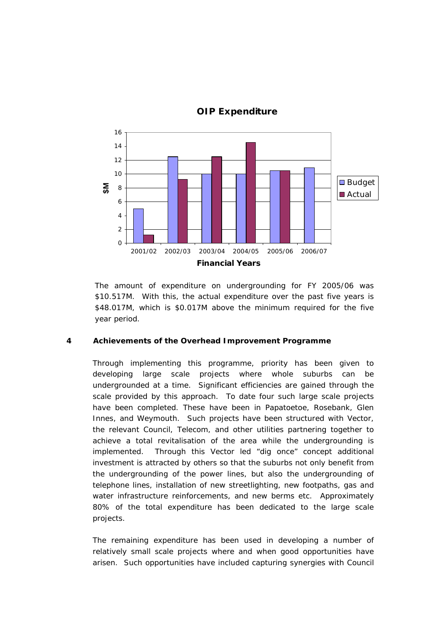

## **OIP Expenditure**

The amount of expenditure on undergrounding for FY 2005/06 was \$10.517M. With this, the actual expenditure over the past five years is \$48.017M, which is \$0.017M above the minimum required for the five year period.

### **4 Achievements of the Overhead Improvement Programme**

Through implementing this programme, priority has been given to developing large scale projects where whole suburbs can be undergrounded at a time. Significant efficiencies are gained through the scale provided by this approach. To date four such large scale projects have been completed. These have been in Papatoetoe, Rosebank, Glen Innes, and Weymouth. Such projects have been structured with Vector, the relevant Council, Telecom, and other utilities partnering together to achieve a total revitalisation of the area while the undergrounding is implemented. Through this Vector led "dig once" concept additional investment is attracted by others so that the suburbs not only benefit from the undergrounding of the power lines, but also the undergrounding of telephone lines, installation of new streetlighting, new footpaths, gas and water infrastructure reinforcements, and new berms etc. Approximately 80% of the total expenditure has been dedicated to the large scale projects.

The remaining expenditure has been used in developing a number of relatively small scale projects where and when good opportunities have arisen. Such opportunities have included capturing synergies with Council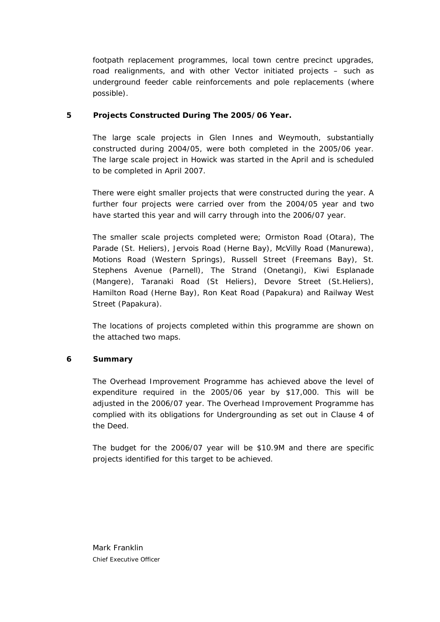footpath replacement programmes, local town centre precinct upgrades, road realignments, and with other Vector initiated projects – such as underground feeder cable reinforcements and pole replacements (where possible).

### **5 Projects Constructed During The 2005/06 Year.**

The large scale projects in Glen Innes and Weymouth, substantially constructed during 2004/05, were both completed in the 2005/06 year. The large scale project in Howick was started in the April and is scheduled to be completed in April 2007.

There were eight smaller projects that were constructed during the year. A further four projects were carried over from the 2004/05 year and two have started this year and will carry through into the 2006/07 year.

The smaller scale projects completed were; Ormiston Road (Otara), The Parade (St. Heliers), Jervois Road (Herne Bay), McVilly Road (Manurewa), Motions Road (Western Springs), Russell Street (Freemans Bay), St. Stephens Avenue (Parnell), The Strand (Onetangi), Kiwi Esplanade (Mangere), Taranaki Road (St Heliers), Devore Street (St.Heliers), Hamilton Road (Herne Bay), Ron Keat Road (Papakura) and Railway West Street (Papakura).

The locations of projects completed within this programme are shown on the attached two maps.

### **6 Summary**

The Overhead Improvement Programme has achieved above the level of expenditure required in the 2005/06 year by \$17,000. This will be adjusted in the 2006/07 year. The Overhead Improvement Programme has complied with its obligations for Undergrounding as set out in Clause 4 of the Deed.

The budget for the 2006/07 year will be \$10.9M and there are specific projects identified for this target to be achieved.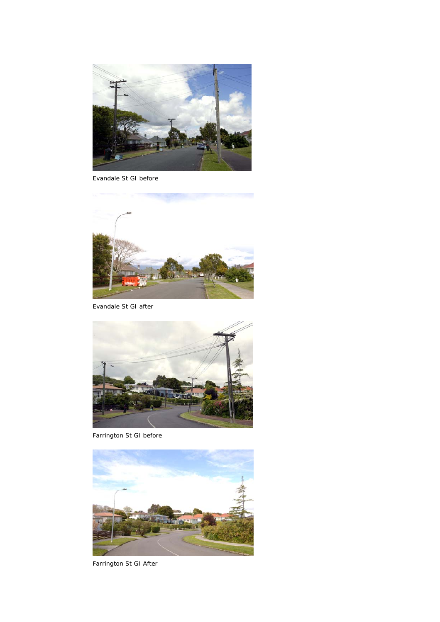

Evandale St GI before



Evandale St GI after



Farrington St GI before



Farrington St GI After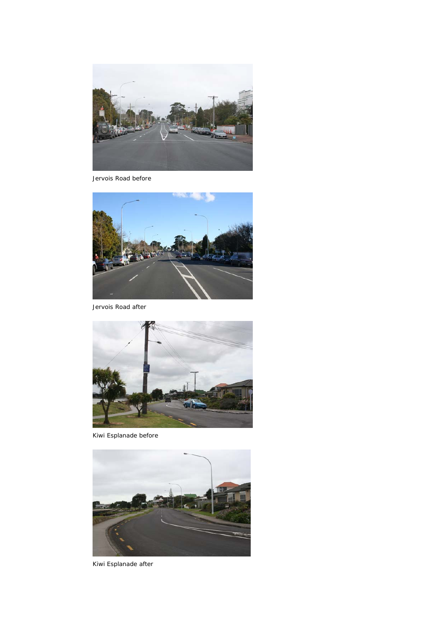

Jervois Road before



Jervois Road after



Kiwi Esplanade before



Kiwi Esplanade after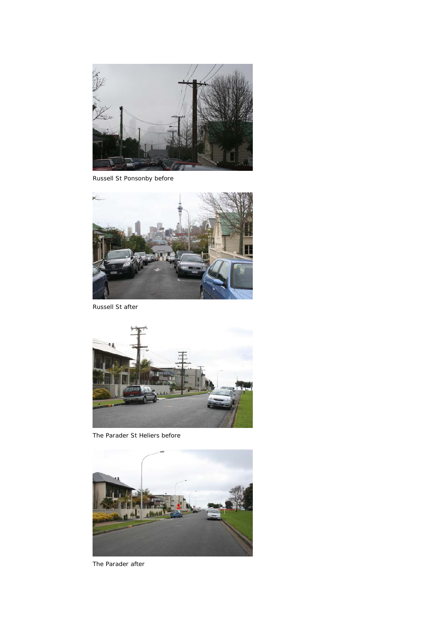

Russell St Ponsonby before



Russell St after



The Parader St Heliers before



The Parader after